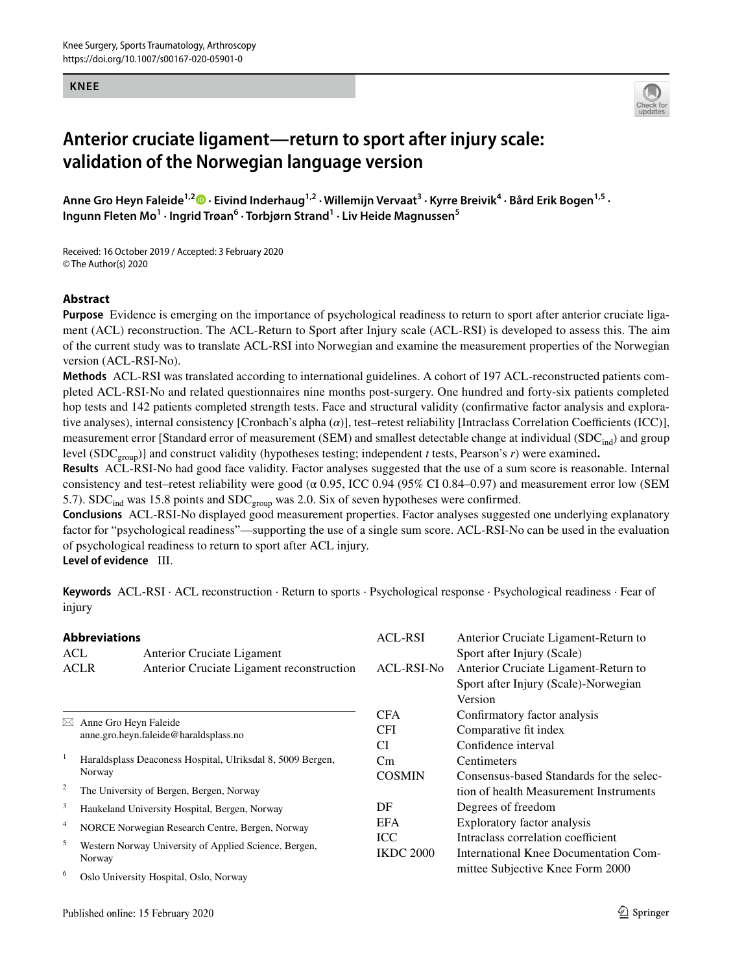#### **KNEE**



# **Anterior cruciate ligament—return to sport after injury scale: validation of the Norwegian language version**

Anne Gro Heyn Faleide<sup>1,[2](http://orcid.org/0000-0003-3691-1087)</sup> D · Eivind Inderhaug<sup>1,2</sup> · Willemijn Vervaat<sup>3</sup> · Kyrre Breivik<sup>4</sup> · Bård Erik Bogen<sup>1,5</sup> · Ingunn Fleten Mo<sup>1</sup> · Ingrid Trøan<sup>6</sup> · Torbjørn Strand<sup>1</sup> · Liv Heide Magnussen<sup>5</sup>

Received: 16 October 2019 / Accepted: 3 February 2020 © The Author(s) 2020

## **Abstract**

**Purpose** Evidence is emerging on the importance of psychological readiness to return to sport after anterior cruciate ligament (ACL) reconstruction. The ACL-Return to Sport after Injury scale (ACL-RSI) is developed to assess this. The aim of the current study was to translate ACL-RSI into Norwegian and examine the measurement properties of the Norwegian version (ACL-RSI-No).

**Methods** ACL-RSI was translated according to international guidelines. A cohort of 197 ACL-reconstructed patients completed ACL-RSI-No and related questionnaires nine months post-surgery. One hundred and forty-six patients completed hop tests and 142 patients completed strength tests. Face and structural validity (confrmative factor analysis and explorative analyses), internal consistency [Cronbach's alpha (*α*)], test–retest reliability [Intraclass Correlation Coefficients (ICC)], measurement error [Standard error of measurement (SEM) and smallest detectable change at individual (SDC<sub>ind</sub>) and group level (SDC<sub>group</sub>)] and construct validity (hypotheses testing; independent *t* tests, Pearson's *r*) were examined.

**Results** ACL-RSI-No had good face validity. Factor analyses suggested that the use of a sum score is reasonable. Internal consistency and test–retest reliability were good (α 0.95, ICC 0.94 (95% CI 0.84–0.97) and measurement error low (SEM 5.7). SDC<sub>ind</sub> was 15.8 points and SDC<sub>group</sub> was 2.0. Six of seven hypotheses were confirmed.

**Conclusions** ACL-RSI-No displayed good measurement properties. Factor analyses suggested one underlying explanatory factor for "psychological readiness"—supporting the use of a single sum score. ACL-RSI-No can be used in the evaluation of psychological readiness to return to sport after ACL injury.

**Level of evidence** III.

**Keywords** ACL-RSI · ACL reconstruction · Return to sports · Psychological response · Psychological readiness · Fear of injury

| ACL            | <b>Abbreviations</b><br><b>ACLR</b> | Anterior Cruciate Ligament<br>Anterior Cruciate Ligament reconstruction                 | <b>ACL-RSI</b><br><b>ACL-RSI-No</b> | Anterior Cruciate Ligament-Return to<br>Sport after Injury (Scale)<br>Anterior Cruciate Ligament-Return to<br>Sport after Injury (Scale)-Norwegian<br>Version |
|----------------|-------------------------------------|-----------------------------------------------------------------------------------------|-------------------------------------|---------------------------------------------------------------------------------------------------------------------------------------------------------------|
| ⊠              | Anne Gro Heyn Faleide               | anne.gro.heyn.faleide@haraldsplass.no                                                   | <b>CFA</b><br><b>CFI</b>            | Confirmatory factor analysis<br>Comparative fit index                                                                                                         |
| 1              | Norway                              | Haraldsplass Deaconess Hospital, Ulriksdal 8, 5009 Bergen,                              | CI<br>Cm<br><b>COSMIN</b>           | Confidence interval<br><b>Centimeters</b><br>Consensus-based Standards for the selec-                                                                         |
| $\overline{c}$ |                                     | The University of Bergen, Bergen, Norway                                                |                                     | tion of health Measurement Instruments                                                                                                                        |
| 3              |                                     | Haukeland University Hospital, Bergen, Norway                                           | DF                                  | Degrees of freedom                                                                                                                                            |
| 4              |                                     | NORCE Norwegian Research Centre, Bergen, Norway                                         | <b>EFA</b>                          | Exploratory factor analysis                                                                                                                                   |
| 5              | Norway                              | <b>ICC</b><br>Western Norway University of Applied Science, Bergen,<br><b>IKDC 2000</b> |                                     | Intraclass correlation coefficient<br>International Knee Documentation Com-                                                                                   |
| 6              |                                     | Oslo University Hospital, Oslo, Norway                                                  |                                     | mittee Subjective Knee Form 2000                                                                                                                              |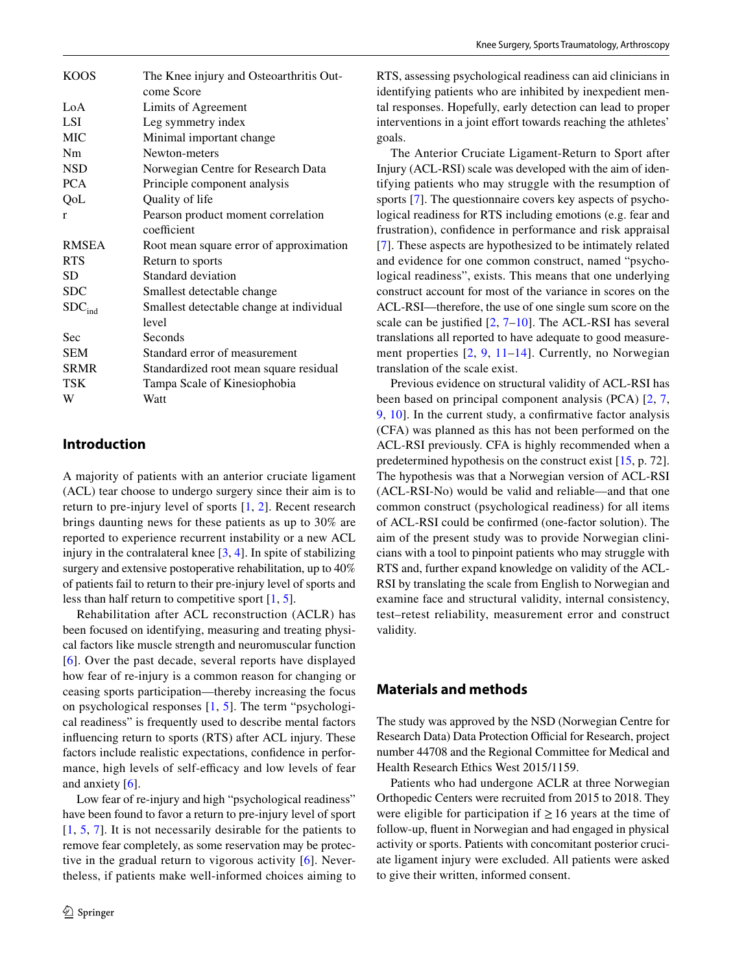| <b>KOOS</b>  | The Knee injury and Osteoarthritis Out-  |
|--------------|------------------------------------------|
|              | come Score                               |
| LoA          | Limits of Agreement                      |
| <b>LSI</b>   | Leg symmetry index                       |
| <b>MIC</b>   | Minimal important change                 |
| Nm           | Newton-meters                            |
| <b>NSD</b>   | Norwegian Centre for Research Data       |
| <b>PCA</b>   | Principle component analysis             |
| QoL          | Quality of life                          |
| r            | Pearson product moment correlation       |
|              | coefficient                              |
| <b>RMSEA</b> | Root mean square error of approximation  |
| <b>RTS</b>   | Return to sports                         |
| SD           | Standard deviation                       |
| <b>SDC</b>   | Smallest detectable change               |
| $SDC_{ind}$  | Smallest detectable change at individual |
|              | level                                    |
| Sec          | Seconds                                  |
| <b>SEM</b>   | Standard error of measurement            |
| <b>SRMR</b>  | Standardized root mean square residual   |
| TSK          | Tampa Scale of Kinesiophobia             |
| W            | Watt                                     |

## **Introduction**

A majority of patients with an anterior cruciate ligament (ACL) tear choose to undergo surgery since their aim is to return to pre-injury level of sports [\[1](#page-7-0), [2\]](#page-7-1). Recent research brings daunting news for these patients as up to 30% are reported to experience recurrent instability or a new ACL injury in the contralateral knee [[3,](#page-7-2) [4\]](#page-7-3). In spite of stabilizing surgery and extensive postoperative rehabilitation, up to 40% of patients fail to return to their pre-injury level of sports and less than half return to competitive sport  $[1, 5]$  $[1, 5]$  $[1, 5]$  $[1, 5]$ .

Rehabilitation after ACL reconstruction (ACLR) has been focused on identifying, measuring and treating physical factors like muscle strength and neuromuscular function [[6\]](#page-8-1). Over the past decade, several reports have displayed how fear of re-injury is a common reason for changing or ceasing sports participation—thereby increasing the focus on psychological responses [[1,](#page-7-0) [5](#page-8-0)]. The term "psychological readiness" is frequently used to describe mental factors infuencing return to sports (RTS) after ACL injury. These factors include realistic expectations, confdence in performance, high levels of self-efficacy and low levels of fear and anxiety [[6\]](#page-8-1).

Low fear of re-injury and high "psychological readiness" have been found to favor a return to pre-injury level of sport [[1,](#page-7-0) [5](#page-8-0), [7](#page-8-2)]. It is not necessarily desirable for the patients to remove fear completely, as some reservation may be protective in the gradual return to vigorous activity [[6](#page-8-1)]. Nevertheless, if patients make well-informed choices aiming to RTS, assessing psychological readiness can aid clinicians in identifying patients who are inhibited by inexpedient mental responses. Hopefully, early detection can lead to proper interventions in a joint effort towards reaching the athletes' goals.

The Anterior Cruciate Ligament-Return to Sport after Injury (ACL-RSI) scale was developed with the aim of identifying patients who may struggle with the resumption of sports [\[7](#page-8-2)]. The questionnaire covers key aspects of psychological readiness for RTS including emotions (e.g. fear and frustration), confdence in performance and risk appraisal [[7\]](#page-8-2). These aspects are hypothesized to be intimately related and evidence for one common construct, named "psychological readiness", exists. This means that one underlying construct account for most of the variance in scores on the ACL-RSI—therefore, the use of one single sum score on the scale can be justified  $[2, 7-10]$  $[2, 7-10]$  $[2, 7-10]$  $[2, 7-10]$ . The ACL-RSI has several translations all reported to have adequate to good measurement properties [[2](#page-7-1), [9](#page-8-4), [11–](#page-8-5)[14\]](#page-8-6). Currently, no Norwegian translation of the scale exist.

Previous evidence on structural validity of ACL-RSI has been based on principal component analysis (PCA) [[2](#page-7-1), [7,](#page-8-2) [9](#page-8-4), [10](#page-8-3)]. In the current study, a confrmative factor analysis (CFA) was planned as this has not been performed on the ACL-RSI previously. CFA is highly recommended when a predetermined hypothesis on the construct exist [\[15,](#page-8-7) p. 72]. The hypothesis was that a Norwegian version of ACL-RSI (ACL-RSI-No) would be valid and reliable—and that one common construct (psychological readiness) for all items of ACL-RSI could be confrmed (one-factor solution). The aim of the present study was to provide Norwegian clinicians with a tool to pinpoint patients who may struggle with RTS and, further expand knowledge on validity of the ACL-RSI by translating the scale from English to Norwegian and examine face and structural validity, internal consistency, test–retest reliability, measurement error and construct validity.

## **Materials and methods**

The study was approved by the NSD (Norwegian Centre for Research Data) Data Protection Official for Research, project number 44708 and the Regional Committee for Medical and Health Research Ethics West 2015/1159.

Patients who had undergone ACLR at three Norwegian Orthopedic Centers were recruited from 2015 to 2018. They were eligible for participation if  $\geq 16$  years at the time of follow-up, fuent in Norwegian and had engaged in physical activity or sports. Patients with concomitant posterior cruciate ligament injury were excluded. All patients were asked to give their written, informed consent.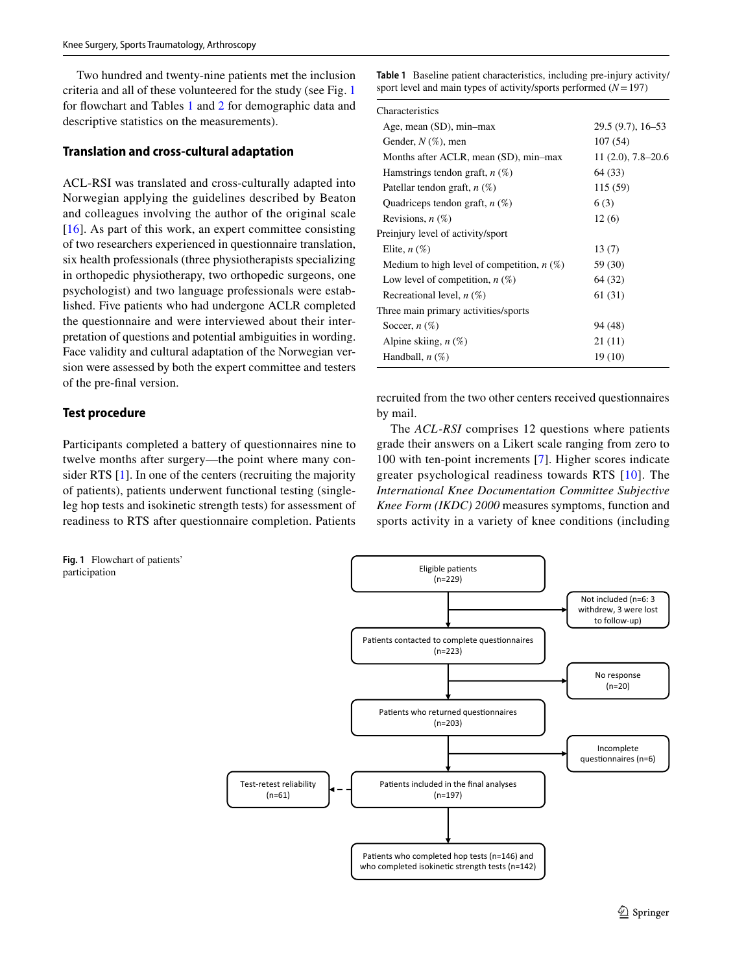Two hundred and twenty-nine patients met the inclusion criteria and all of these volunteered for the study (see Fig. [1](#page-2-0) for fowchart and Tables [1](#page-2-1) and [2](#page-3-0) for demographic data and descriptive statistics on the measurements).

#### **Translation and cross‑cultural adaptation**

ACL-RSI was translated and cross-culturally adapted into Norwegian applying the guidelines described by Beaton and colleagues involving the author of the original scale  $[16]$ . As part of this work, an expert committee consisting of two researchers experienced in questionnaire translation, six health professionals (three physiotherapists specializing in orthopedic physiotherapy, two orthopedic surgeons, one psychologist) and two language professionals were established. Five patients who had undergone ACLR completed the questionnaire and were interviewed about their interpretation of questions and potential ambiguities in wording. Face validity and cultural adaptation of the Norwegian version were assessed by both the expert committee and testers of the pre-fnal version.

## **Test procedure**

Participants completed a battery of questionnaires nine to twelve months after surgery—the point where many con-sider RTS [[1](#page-7-0)]. In one of the centers (recruiting the majority of patients), patients underwent functional testing (singleleg hop tests and isokinetic strength tests) for assessment of readiness to RTS after questionnaire completion. Patients

<span id="page-2-0"></span>**Fig. 1** Flowchart of patients'

<span id="page-2-1"></span>**Table 1** Baseline patient characteristics, including pre-injury activity/ sport level and main types of activity/sports performed (*N*=197)

| Characteristics                              |                     |
|----------------------------------------------|---------------------|
| Age, mean (SD), min-max                      | $29.5(9.7), 16-53$  |
| Gender, $N$ (%), men                         | 107(54)             |
| Months after ACLR, mean (SD), min-max        | $11(2.0), 7.8-20.6$ |
| Hamstrings tendon graft, $n$ (%)             | 64 (33)             |
| Patellar tendon graft, $n(\%)$               | 115 (59)            |
| Quadriceps tendon graft, $n$ (%)             | 6(3)                |
| Revisions, $n(\%)$                           | 12(6)               |
| Preinjury level of activity/sport            |                     |
| Elite, $n(\%)$                               | 13(7)               |
| Medium to high level of competition, $n$ (%) | 59 (30)             |
| Low level of competition, $n$ (%)            | 64 (32)             |
| Recreational level, $n(\%)$                  | 61 (31)             |
| Three main primary activities/sports         |                     |
| Soccer, $n(\%)$                              | 94 (48)             |
| Alpine skiing, $n$ $(\%)$                    | 21 (11)             |
| Handball, $n(\%)$                            | 19(10)              |

recruited from the two other centers received questionnaires by mail.

The *ACL-RSI* comprises 12 questions where patients grade their answers on a Likert scale ranging from zero to 100 with ten-point increments [\[7\]](#page-8-2). Higher scores indicate greater psychological readiness towards RTS [[10](#page-8-3)]. The *International Knee Documentation Committee Subjective Knee Form (IKDC) 2000* measures symptoms, function and sports activity in a variety of knee conditions (including

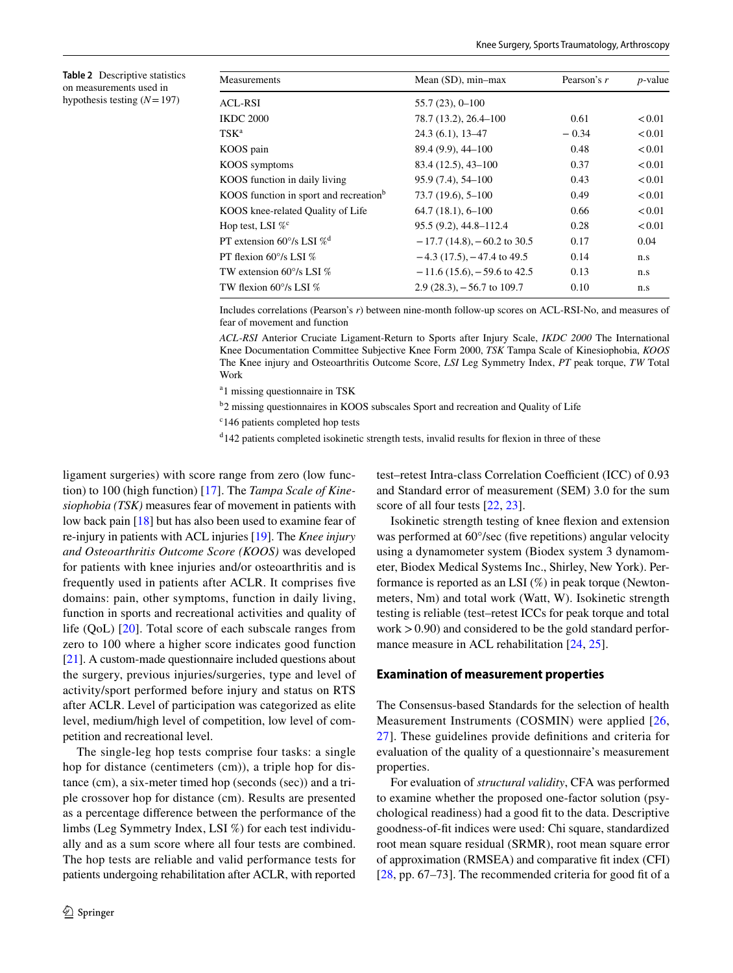<span id="page-3-0"></span>**Table 2** Descriptive statistics on measurements used in hypothesis testing (*N*=197)

| Measurements                                       | Mean (SD), min-max              | Pearson's $r$ | $p$ -value |
|----------------------------------------------------|---------------------------------|---------------|------------|
| ACL-RSI                                            | $55.7(23)$ , 0-100              |               |            |
| <b>IKDC 2000</b>                                   | 78.7 (13.2), 26.4–100           | 0.61          | < 0.01     |
| $T\text{SK}^{\text{a}}$                            | $24.3(6.1), 13-47$              | $-0.34$       | < 0.01     |
| KOOS pain                                          | 89.4 (9.9), 44-100              | 0.48          | < 0.01     |
| KOOS symptoms                                      | $83.4(12.5), 43-100$            | 0.37          | < 0.01     |
| KOOS function in daily living                      | $95.9(7.4), 54-100$             | 0.43          | < 0.01     |
| KOOS function in sport and recreation <sup>b</sup> | $73.7(19.6), 5-100$             | 0.49          | < 0.01     |
| KOOS knee-related Quality of Life                  | $64.7(18.1), 6-100$             | 0.66          | < 0.01     |
| Hop test, LSI $\%^c$                               | 95.5 (9.2), 44.8–112.4          | 0.28          | < 0.01     |
| PT extension 60 $\degree$ /s LSI $\%$ <sup>d</sup> | $-17.7(14.8)$ , $-60.2$ to 30.5 | 0.17          | 0.04       |
| PT flexion $60^{\circ}/s$ LSI $\%$                 | $-4.3$ (17.5), $-47.4$ to 49.5  | 0.14          | n.s        |
| TW extension 60 $\degree$ /s LSI $\%$              | $-11.6(15.6)$ , $-59.6$ to 42.5 | 0.13          | n.s        |
| TW flexion 60°/s LSI $\%$                          | $2.9(28.3)$ , $-56.7$ to 109.7  | 0.10          | n.s        |
|                                                    |                                 |               |            |

Includes correlations (Pearson's *r*) between nine-month follow-up scores on ACL-RSI-No, and measures of fear of movement and function

*ACL-RSI* Anterior Cruciate Ligament-Return to Sports after Injury Scale, *IKDC 2000* The International Knee Documentation Committee Subjective Knee Form 2000, *TSK* Tampa Scale of Kinesiophobia, *KOOS* The Knee injury and Osteoarthritis Outcome Score, *LSI* Leg Symmetry Index, *PT* peak torque, *TW* Total Work

<sup>a</sup>1 missing questionnaire in TSK

<sup>b</sup>2 missing questionnaires in KOOS subscales Sport and recreation and Quality of Life

<sup>c</sup>146 patients completed hop tests

<sup>d</sup>142 patients completed isokinetic strength tests, invalid results for flexion in three of these

ligament surgeries) with score range from zero (low function) to 100 (high function) [\[17](#page-8-9)]. The *Tampa Scale of Kinesiophobia (TSK)* measures fear of movement in patients with low back pain [[18\]](#page-8-10) but has also been used to examine fear of re-injury in patients with ACL injuries [\[19](#page-8-11)]. The *Knee injury and Osteoarthritis Outcome Score (KOOS)* was developed for patients with knee injuries and/or osteoarthritis and is frequently used in patients after ACLR. It comprises fve domains: pain, other symptoms, function in daily living, function in sports and recreational activities and quality of life (QoL) [[20\]](#page-8-12). Total score of each subscale ranges from zero to 100 where a higher score indicates good function [\[21](#page-8-13)]. A custom-made questionnaire included questions about the surgery, previous injuries/surgeries, type and level of activity/sport performed before injury and status on RTS after ACLR. Level of participation was categorized as elite level, medium/high level of competition, low level of competition and recreational level.

The single-leg hop tests comprise four tasks: a single hop for distance (centimeters (cm)), a triple hop for distance (cm), a six-meter timed hop (seconds (sec)) and a triple crossover hop for distance (cm). Results are presented as a percentage diference between the performance of the limbs (Leg Symmetry Index, LSI %) for each test individually and as a sum score where all four tests are combined. The hop tests are reliable and valid performance tests for patients undergoing rehabilitation after ACLR, with reported test-retest Intra-class Correlation Coefficient (ICC) of 0.93 and Standard error of measurement (SEM) 3.0 for the sum score of all four tests [[22](#page-8-14), [23](#page-8-15)].

Isokinetic strength testing of knee fexion and extension was performed at  $60^{\circ}/sec$  (five repetitions) angular velocity using a dynamometer system (Biodex system 3 dynamometer, Biodex Medical Systems Inc., Shirley, New York). Performance is reported as an LSI (%) in peak torque (Newtonmeters, Nm) and total work (Watt, W). Isokinetic strength testing is reliable (test–retest ICCs for peak torque and total  $work$   $> 0.90$ ) and considered to be the gold standard perfor-mance measure in ACL rehabilitation [[24,](#page-8-16) [25\]](#page-8-17).

#### **Examination of measurement properties**

The Consensus-based Standards for the selection of health Measurement Instruments (COSMIN) were applied [\[26,](#page-8-18) [27](#page-8-19)]. These guidelines provide defnitions and criteria for evaluation of the quality of a questionnaire's measurement properties.

For evaluation of *structural validity*, CFA was performed to examine whether the proposed one-factor solution (psychological readiness) had a good ft to the data. Descriptive goodness-of-ft indices were used: Chi square, standardized root mean square residual (SRMR), root mean square error of approximation (RMSEA) and comparative ft index (CFI) [[28,](#page-8-20) pp. 67–73]. The recommended criteria for good fit of a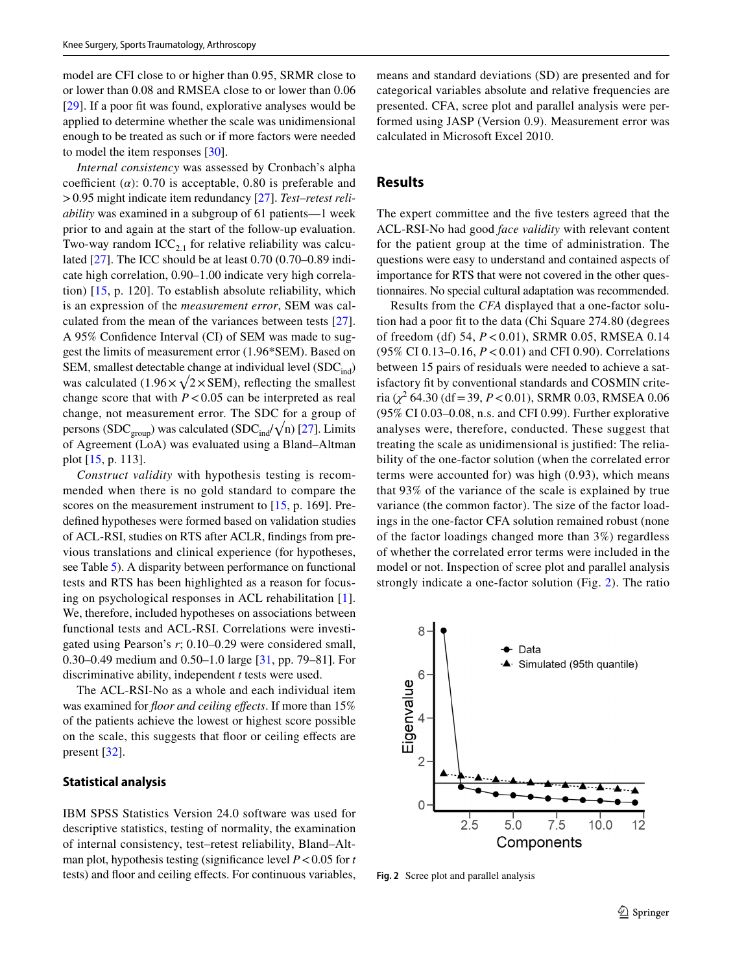model are CFI close to or higher than 0.95, SRMR close to or lower than 0.08 and RMSEA close to or lower than 0.06 [\[29\]](#page-8-21). If a poor fit was found, explorative analyses would be applied to determine whether the scale was unidimensional enough to be treated as such or if more factors were needed to model the item responses [\[30](#page-8-22)].

*Internal consistency* was assessed by Cronbach's alpha coefficient  $(\alpha)$ : 0.70 is acceptable, 0.80 is preferable and >0.95 might indicate item redundancy [[27\]](#page-8-19). *Test–retest reliability* was examined in a subgroup of 61 patients—1 week prior to and again at the start of the follow-up evaluation. Two-way random  $ICC_{2,1}$  for relative reliability was calculated [\[27\]](#page-8-19). The ICC should be at least 0.70 (0.70–0.89 indicate high correlation, 0.90–1.00 indicate very high correlation) [[15](#page-8-7), p. 120]. To establish absolute reliability, which is an expression of the *measurement error*, SEM was calculated from the mean of the variances between tests [\[27](#page-8-19)]. A 95% Confdence Interval (CI) of SEM was made to suggest the limits of measurement error (1.96\*SEM). Based on SEM, smallest detectable change at individual level  $(SDC_{ind})$ was calculated (1.96× $\sqrt{2}$ ×SEM), reflecting the smallest change score that with  $P < 0.05$  can be interpreted as real change, not measurement error. The SDC for a group of persons (SDC<sub>group</sub>) was calculated (SDC<sub>ind</sub>/ $\sqrt{n}$ ) [\[27](#page-8-19)]. Limits of Agreement (LoA) was evaluated using a Bland–Altman plot [[15,](#page-8-7) p. 113].

*Construct validity* with hypothesis testing is recommended when there is no gold standard to compare the scores on the measurement instrument to [\[15](#page-8-7), p. 169]. Predefned hypotheses were formed based on validation studies of ACL-RSI, studies on RTS after ACLR, fndings from previous translations and clinical experience (for hypotheses, see Table [5](#page-6-0)). A disparity between performance on functional tests and RTS has been highlighted as a reason for focusing on psychological responses in ACL rehabilitation [[1](#page-7-0)]. We, therefore, included hypotheses on associations between functional tests and ACL-RSI. Correlations were investigated using Pearson's *r*; 0.10–0.29 were considered small, 0.30–0.49 medium and 0.50–1.0 large [[31](#page-8-23), pp. 79–81]. For discriminative ability, independent *t* tests were used.

The ACL-RSI-No as a whole and each individual item was examined for *foor and ceiling efects*. If more than 15% of the patients achieve the lowest or highest score possible on the scale, this suggests that foor or ceiling efects are present [[32](#page-8-24)].

## **Statistical analysis**

IBM SPSS Statistics Version 24.0 software was used for descriptive statistics, testing of normality, the examination of internal consistency, test–retest reliability, Bland–Altman plot, hypothesis testing (significance level  $P < 0.05$  for *t* tests) and foor and ceiling efects. For continuous variables, means and standard deviations (SD) are presented and for categorical variables absolute and relative frequencies are presented. CFA, scree plot and parallel analysis were performed using JASP (Version 0.9). Measurement error was calculated in Microsoft Excel 2010.

## **Results**

The expert committee and the fve testers agreed that the ACL-RSI-No had good *face validity* with relevant content for the patient group at the time of administration. The questions were easy to understand and contained aspects of importance for RTS that were not covered in the other questionnaires. No special cultural adaptation was recommended.

Results from the *CFA* displayed that a one-factor solution had a poor ft to the data (Chi Square 274.80 (degrees of freedom (df) 54, *P*<0.01), SRMR 0.05, RMSEA 0.14 (95% CI 0.13–0.16, *P*<0.01) and CFI 0.90). Correlations between 15 pairs of residuals were needed to achieve a satisfactory ft by conventional standards and COSMIN criteria (*χ*<sup>2</sup> 64.30 (df=39, *P*<0.01), SRMR 0.03, RMSEA 0.06 (95% CI 0.03–0.08, n.s. and CFI 0.99). Further explorative analyses were, therefore, conducted. These suggest that treating the scale as unidimensional is justifed: The reliability of the one-factor solution (when the correlated error terms were accounted for) was high (0.93), which means that 93% of the variance of the scale is explained by true variance (the common factor). The size of the factor loadings in the one-factor CFA solution remained robust (none of the factor loadings changed more than 3%) regardless of whether the correlated error terms were included in the model or not. Inspection of scree plot and parallel analysis strongly indicate a one-factor solution (Fig. [2](#page-4-0)). The ratio



<span id="page-4-0"></span>**Fig. 2** Scree plot and parallel analysis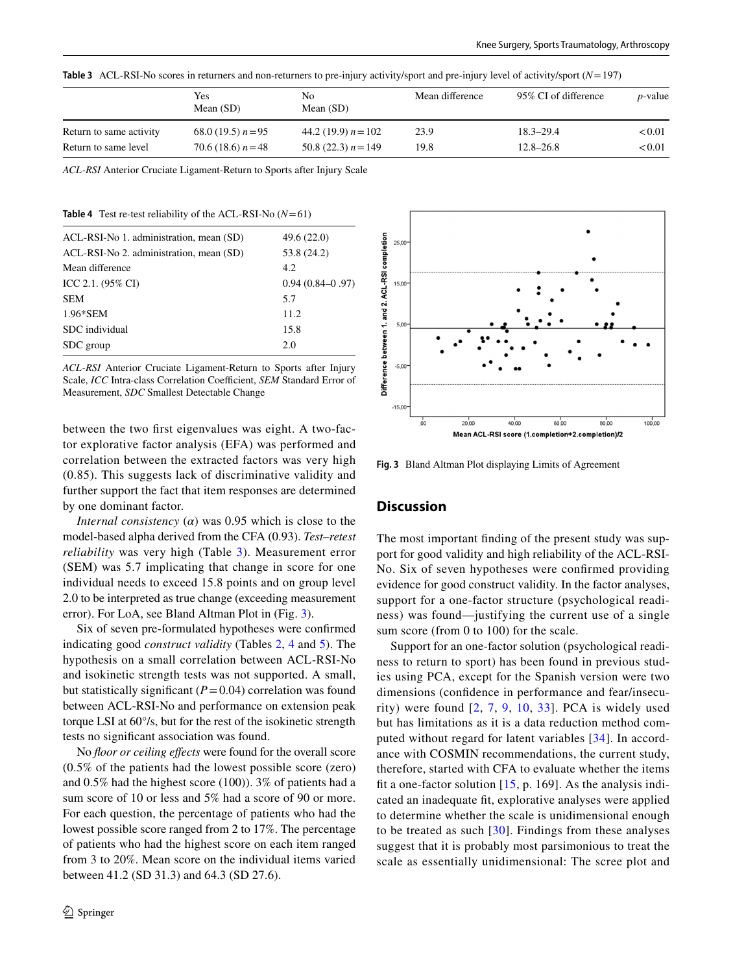<span id="page-5-0"></span>**Table 3** ACL-RSI-No scores in returners and non-returners to pre-injury activity/sport and pre-injury level of activity/sport (*N*=197)

|                         | Yes<br>Mean $(SD)$ | No<br>Mean $(SD)$     | Mean difference | 95% CI of difference | <i>p</i> -value |
|-------------------------|--------------------|-----------------------|-----------------|----------------------|-----------------|
| Return to same activity | 68.0 (19.5) $n=95$ | 44.2 (19.9) $n = 102$ | 23.9            | $18.3 - 29.4$        | < 0.01          |
| Return to same level    | 70.6 (18.6) $n=48$ | 50.8 (22.3) $n = 149$ | 19.8            | $12.8 - 26.8$        | < 0.01          |

*ACL-RSI* Anterior Cruciate Ligament-Return to Sports after Injury Scale

<span id="page-5-2"></span>**Table 4** Test re-test reliability of the ACL-RSI-No  $(N=61)$ 

| ACL-RSI-No 1. administration, mean (SD) | 49.6(22.0)          |
|-----------------------------------------|---------------------|
| ACL-RSI-No 2. administration, mean (SD) | 53.8 (24.2)         |
| Mean difference                         | 4.2                 |
| ICC 2.1. $(95\% \text{ CI})$            | $0.94(0.84 - 0.97)$ |
| <b>SEM</b>                              | 5.7                 |
| $1.96*SEM$                              | 11.2                |
| SDC individual                          | 15.8                |
| SDC group                               | 2.0                 |
|                                         |                     |

*ACL-RSI* Anterior Cruciate Ligament-Return to Sports after Injury Scale, *ICC* Intra-class Correlation Coefficient, *SEM* Standard Error of Measurement, *SDC* Smallest Detectable Change

between the two frst eigenvalues was eight. A two-factor explorative factor analysis (EFA) was performed and correlation between the extracted factors was very high (0.85). This suggests lack of discriminative validity and further support the fact that item responses are determined by one dominant factor.

*Internal consistency* ( $\alpha$ ) was 0.95 which is close to the model-based alpha derived from the CFA (0.93). *Test–retest reliability* was very high (Table [3\)](#page-5-0). Measurement error (SEM) was 5.7 implicating that change in score for one individual needs to exceed 15.8 points and on group level 2.0 to be interpreted as true change (exceeding measurement error). For LoA, see Bland Altman Plot in (Fig. [3\)](#page-5-1).

Six of seven pre-formulated hypotheses were confrmed indicating good *construct validity* (Tables [2](#page-3-0), [4](#page-5-2) and [5\)](#page-6-0). The hypothesis on a small correlation between ACL-RSI-No and isokinetic strength tests was not supported. A small, but statistically significant  $(P=0.04)$  correlation was found between ACL-RSI-No and performance on extension peak torque LSI at 60°/s, but for the rest of the isokinetic strength tests no signifcant association was found.

No *foor or ceiling efects* were found for the overall score (0.5% of the patients had the lowest possible score (zero) and 0.5% had the highest score (100)). 3% of patients had a sum score of 10 or less and 5% had a score of 90 or more. For each question, the percentage of patients who had the lowest possible score ranged from 2 to 17%. The percentage of patients who had the highest score on each item ranged from 3 to 20%. Mean score on the individual items varied between 41.2 (SD 31.3) and 64.3 (SD 27.6).



<span id="page-5-1"></span>**Fig. 3** Bland Altman Plot displaying Limits of Agreement

#### **Discussion**

The most important fnding of the present study was support for good validity and high reliability of the ACL-RSI-No. Six of seven hypotheses were confrmed providing evidence for good construct validity. In the factor analyses, support for a one-factor structure (psychological readiness) was found—justifying the current use of a single sum score (from 0 to 100) for the scale.

Support for an one-factor solution (psychological readiness to return to sport) has been found in previous studies using PCA, except for the Spanish version were two dimensions (confdence in performance and fear/insecurity) were found  $[2, 7, 9, 10, 33]$  $[2, 7, 9, 10, 33]$  $[2, 7, 9, 10, 33]$  $[2, 7, 9, 10, 33]$  $[2, 7, 9, 10, 33]$  $[2, 7, 9, 10, 33]$  $[2, 7, 9, 10, 33]$  $[2, 7, 9, 10, 33]$  $[2, 7, 9, 10, 33]$  $[2, 7, 9, 10, 33]$ . PCA is widely used but has limitations as it is a data reduction method computed without regard for latent variables [[34](#page-8-26)]. In accordance with COSMIN recommendations, the current study, therefore, started with CFA to evaluate whether the items fit a one-factor solution  $[15, p. 169]$  $[15, p. 169]$ . As the analysis indicated an inadequate ft, explorative analyses were applied to determine whether the scale is unidimensional enough to be treated as such [\[30\]](#page-8-22). Findings from these analyses suggest that it is probably most parsimonious to treat the scale as essentially unidimensional: The scree plot and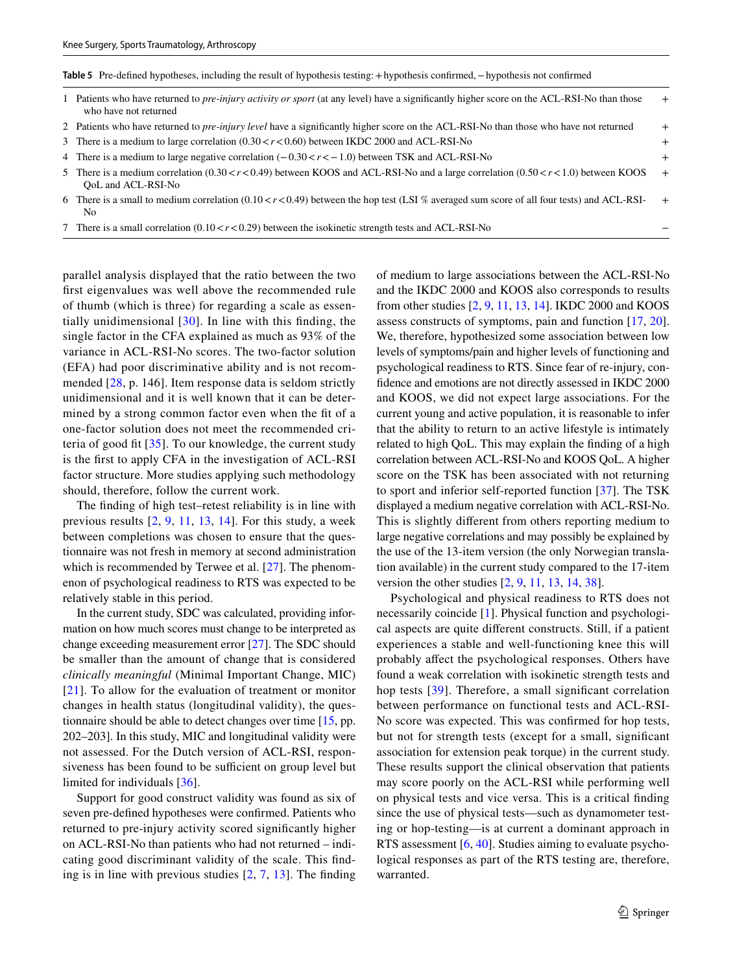<span id="page-6-0"></span>**Table 5** Pre-defned hypotheses, including the result of hypothesis testing:+hypothesis confrmed,−hypothesis not confrmed

- 1 Patients who have returned to *pre-injury activity or sport* (at any level) have a signifcantly higher score on the ACL-RSI-No than those who have not returned + 2 Patients who have returned to *pre-injury level* have a signifcantly higher score on the ACL-RSI-No than those who have not returned +
- 3 There is a medium to large correlation (0.30<*r*<0.60) between IKDC 2000 and ACL-RSI-No +
- 4 There is a medium to large negative correlation (−0.30<*r*<−1.0) between TSK and ACL-RSI-No +
- 5 There is a medium correlation (0.30<*r*<0.49) between KOOS and ACL-RSI-No and a large correlation (0.50<*r*<1.0) between KOOS QoL and ACL-RSI-No +
- 6 There is a small to medium correlation (0.10<*r*<0.49) between the hop test (LSI % averaged sum score of all four tests) and ACL-RSI-No +
- 7 There is a small correlation (0.10<*r*<0.29) between the isokinetic strength tests and ACL-RSI-No −

parallel analysis displayed that the ratio between the two frst eigenvalues was well above the recommended rule of thumb (which is three) for regarding a scale as essentially unidimensional [\[30\]](#page-8-22). In line with this fnding, the single factor in the CFA explained as much as 93% of the variance in ACL-RSI-No scores. The two-factor solution (EFA) had poor discriminative ability and is not recommended [\[28,](#page-8-20) p. 146]. Item response data is seldom strictly unidimensional and it is well known that it can be determined by a strong common factor even when the ft of a one-factor solution does not meet the recommended criteria of good ft [[35](#page-8-27)]. To our knowledge, the current study is the frst to apply CFA in the investigation of ACL-RSI factor structure. More studies applying such methodology should, therefore, follow the current work.

The fnding of high test–retest reliability is in line with previous results [\[2,](#page-7-1) [9](#page-8-4), [11](#page-8-5), [13,](#page-8-28) [14\]](#page-8-6). For this study, a week between completions was chosen to ensure that the questionnaire was not fresh in memory at second administration which is recommended by Terwee et al. [[27\]](#page-8-19). The phenomenon of psychological readiness to RTS was expected to be relatively stable in this period.

In the current study, SDC was calculated, providing information on how much scores must change to be interpreted as change exceeding measurement error [[27\]](#page-8-19). The SDC should be smaller than the amount of change that is considered *clinically meaningful* (Minimal Important Change, MIC) [[21\]](#page-8-13). To allow for the evaluation of treatment or monitor changes in health status (longitudinal validity), the questionnaire should be able to detect changes over time [[15,](#page-8-7) pp. 202–203]. In this study, MIC and longitudinal validity were not assessed. For the Dutch version of ACL-RSI, responsiveness has been found to be sufficient on group level but limited for individuals [[36\]](#page-8-29).

Support for good construct validity was found as six of seven pre-defned hypotheses were confrmed. Patients who returned to pre-injury activity scored signifcantly higher on ACL-RSI-No than patients who had not returned – indicating good discriminant validity of the scale. This fnding is in line with previous studies  $[2, 7, 13]$  $[2, 7, 13]$  $[2, 7, 13]$  $[2, 7, 13]$  $[2, 7, 13]$  $[2, 7, 13]$  $[2, 7, 13]$ . The finding of medium to large associations between the ACL-RSI-No and the IKDC 2000 and KOOS also corresponds to results from other studies [\[2](#page-7-1), [9,](#page-8-4) [11,](#page-8-5) [13](#page-8-28), [14](#page-8-6)]. IKDC 2000 and KOOS assess constructs of symptoms, pain and function [[17](#page-8-9), [20](#page-8-12)]. We, therefore, hypothesized some association between low levels of symptoms/pain and higher levels of functioning and psychological readiness to RTS. Since fear of re-injury, confdence and emotions are not directly assessed in IKDC 2000 and KOOS, we did not expect large associations. For the current young and active population, it is reasonable to infer that the ability to return to an active lifestyle is intimately related to high QoL. This may explain the fnding of a high correlation between ACL-RSI-No and KOOS QoL. A higher score on the TSK has been associated with not returning to sport and inferior self-reported function [\[37\]](#page-8-30). The TSK displayed a medium negative correlation with ACL-RSI-No. This is slightly diferent from others reporting medium to large negative correlations and may possibly be explained by the use of the 13-item version (the only Norwegian translation available) in the current study compared to the 17-item version the other studies [\[2](#page-7-1), [9](#page-8-4), [11](#page-8-5), [13](#page-8-28), [14](#page-8-6), [38](#page-8-31)].

Psychological and physical readiness to RTS does not necessarily coincide [[1\]](#page-7-0). Physical function and psychological aspects are quite diferent constructs. Still, if a patient experiences a stable and well-functioning knee this will probably afect the psychological responses. Others have found a weak correlation with isokinetic strength tests and hop tests [[39](#page-8-32)]. Therefore, a small significant correlation between performance on functional tests and ACL-RSI-No score was expected. This was confrmed for hop tests, but not for strength tests (except for a small, signifcant association for extension peak torque) in the current study. These results support the clinical observation that patients may score poorly on the ACL-RSI while performing well on physical tests and vice versa. This is a critical fnding since the use of physical tests—such as dynamometer testing or hop-testing—is at current a dominant approach in RTS assessment [[6](#page-8-1), [40\]](#page-9-0). Studies aiming to evaluate psychological responses as part of the RTS testing are, therefore, warranted.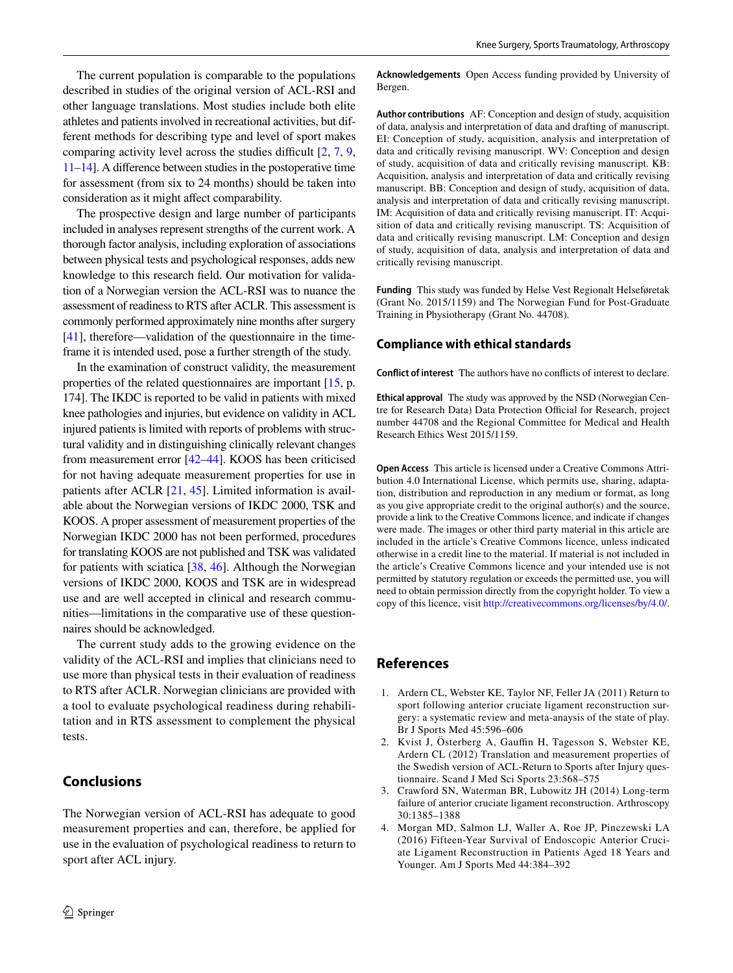The current population is comparable to the populations described in studies of the original version of ACL-RSI and other language translations. Most studies include both elite athletes and patients involved in recreational activities, but different methods for describing type and level of sport makes comparing activity level across the studies difficult  $[2, 7, 9, 9]$  $[2, 7, 9, 9]$  $[2, 7, 9, 9]$  $[2, 7, 9, 9]$  $[2, 7, 9, 9]$  $[2, 7, 9, 9]$ [11–](#page-8-5)[14](#page-8-6)]. A diference between studies in the postoperative time for assessment (from six to 24 months) should be taken into consideration as it might afect comparability.

The prospective design and large number of participants included in analyses represent strengths of the current work. A thorough factor analysis, including exploration of associations between physical tests and psychological responses, adds new knowledge to this research feld. Our motivation for validation of a Norwegian version the ACL-RSI was to nuance the assessment of readiness to RTS after ACLR. This assessment is commonly performed approximately nine months after surgery [\[41](#page-9-1)], therefore—validation of the questionnaire in the timeframe it is intended used, pose a further strength of the study.

In the examination of construct validity, the measurement properties of the related questionnaires are important [[15,](#page-8-7) p. 174]. The IKDC is reported to be valid in patients with mixed knee pathologies and injuries, but evidence on validity in ACL injured patients is limited with reports of problems with structural validity and in distinguishing clinically relevant changes from measurement error [\[42](#page-9-2)[–44\]](#page-9-3). KOOS has been criticised for not having adequate measurement properties for use in patients after ACLR [[21,](#page-8-13) [45](#page-9-4)]. Limited information is available about the Norwegian versions of IKDC 2000, TSK and KOOS. A proper assessment of measurement properties of the Norwegian IKDC 2000 has not been performed, procedures for translating KOOS are not published and TSK was validated for patients with sciatica [[38](#page-8-31), [46\]](#page-9-5). Although the Norwegian versions of IKDC 2000, KOOS and TSK are in widespread use and are well accepted in clinical and research communities—limitations in the comparative use of these questionnaires should be acknowledged.

The current study adds to the growing evidence on the validity of the ACL-RSI and implies that clinicians need to use more than physical tests in their evaluation of readiness to RTS after ACLR. Norwegian clinicians are provided with a tool to evaluate psychological readiness during rehabilitation and in RTS assessment to complement the physical tests.

# **Conclusions**

The Norwegian version of ACL-RSI has adequate to good measurement properties and can, therefore, be applied for use in the evaluation of psychological readiness to return to sport after ACL injury.

**Acknowledgements** Open Access funding provided by University of Bergen.

**Author contributions** AF: Conception and design of study, acquisition of data, analysis and interpretation of data and drafting of manuscript. EI: Conception of study, acquisition, analysis and interpretation of data and critically revising manuscript. WV: Conception and design of study, acquisition of data and critically revising manuscript. KB: Acquisition, analysis and interpretation of data and critically revising manuscript. BB: Conception and design of study, acquisition of data, analysis and interpretation of data and critically revising manuscript. IM: Acquisition of data and critically revising manuscript. IT: Acquisition of data and critically revising manuscript. TS: Acquisition of data and critically revising manuscript. LM: Conception and design of study, acquisition of data, analysis and interpretation of data and critically revising manuscript.

**Funding** This study was funded by Helse Vest Regionalt Helseføretak (Grant No. 2015/1159) and The Norwegian Fund for Post-Graduate Training in Physiotherapy (Grant No. 44708).

#### **Compliance with ethical standards**

**Conflict of interest** The authors have no conficts of interest to declare.

**Ethical approval** The study was approved by the NSD (Norwegian Centre for Research Data) Data Protection Official for Research, project number 44708 and the Regional Committee for Medical and Health Research Ethics West 2015/1159.

**Open Access** This article is licensed under a Creative Commons Attribution 4.0 International License, which permits use, sharing, adaptation, distribution and reproduction in any medium or format, as long as you give appropriate credit to the original author(s) and the source, provide a link to the Creative Commons licence, and indicate if changes were made. The images or other third party material in this article are included in the article's Creative Commons licence, unless indicated otherwise in a credit line to the material. If material is not included in the article's Creative Commons licence and your intended use is not permitted by statutory regulation or exceeds the permitted use, you will need to obtain permission directly from the copyright holder. To view a copy of this licence, visit<http://creativecommons.org/licenses/by/4.0/>.

# **References**

- <span id="page-7-0"></span>1. Ardern CL, Webster KE, Taylor NF, Feller JA (2011) Return to sport following anterior cruciate ligament reconstruction surgery: a systematic review and meta-anaysis of the state of play. Br J Sports Med 45:596–606
- <span id="page-7-1"></span>2. Kvist J, Österberg A, Gaufn H, Tagesson S, Webster KE, Ardern CL (2012) Translation and measurement properties of the Swedish version of ACL-Return to Sports after Injury questionnaire. Scand J Med Sci Sports 23:568–575
- <span id="page-7-2"></span>3. Crawford SN, Waterman BR, Lubowitz JH (2014) Long-term failure of anterior cruciate ligament reconstruction. Arthroscopy 30:1385–1388
- <span id="page-7-3"></span>4. Morgan MD, Salmon LJ, Waller A, Roe JP, Pinczewski LA (2016) Fifteen-Year Survival of Endoscopic Anterior Cruciate Ligament Reconstruction in Patients Aged 18 Years and Younger. Am J Sports Med 44:384–392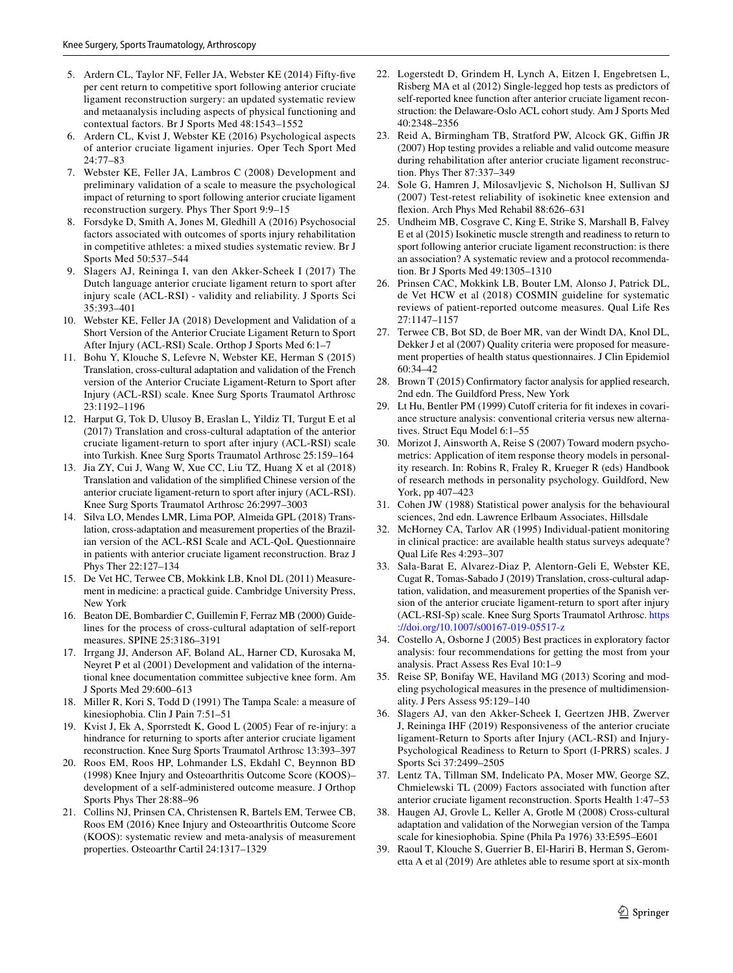- <span id="page-8-0"></span>5. Ardern CL, Taylor NF, Feller JA, Webster KE (2014) Fifty-fve per cent return to competitive sport following anterior cruciate ligament reconstruction surgery: an updated systematic review and metaanalysis including aspects of physical functioning and contextual factors. Br J Sports Med 48:1543–1552
- <span id="page-8-1"></span>6. Ardern CL, Kvist J, Webster KE (2016) Psychological aspects of anterior cruciate ligament injuries. Oper Tech Sport Med 24:77–83
- <span id="page-8-2"></span>7. Webster KE, Feller JA, Lambros C (2008) Development and preliminary validation of a scale to measure the psychological impact of returning to sport following anterior cruciate ligament reconstruction surgery. Phys Ther Sport 9:9–15
- 8. Forsdyke D, Smith A, Jones M, Gledhill A (2016) Psychosocial factors associated with outcomes of sports injury rehabilitation in competitive athletes: a mixed studies systematic review. Br J Sports Med 50:537–544
- <span id="page-8-4"></span>9. Slagers AJ, Reininga I, van den Akker-Scheek I (2017) The Dutch language anterior cruciate ligament return to sport after injury scale (ACL-RSI) - validity and reliability. J Sports Sci 35:393–401
- <span id="page-8-3"></span>10. Webster KE, Feller JA (2018) Development and Validation of a Short Version of the Anterior Cruciate Ligament Return to Sport After Injury (ACL-RSI) Scale. Orthop J Sports Med 6:1–7
- <span id="page-8-5"></span>11. Bohu Y, Klouche S, Lefevre N, Webster KE, Herman S (2015) Translation, cross-cultural adaptation and validation of the French version of the Anterior Cruciate Ligament-Return to Sport after Injury (ACL-RSI) scale. Knee Surg Sports Traumatol Arthrosc 23:1192–1196
- 12. Harput G, Tok D, Ulusoy B, Eraslan L, Yildiz TI, Turgut E et al (2017) Translation and cross-cultural adaptation of the anterior cruciate ligament-return to sport after injury (ACL-RSI) scale into Turkish. Knee Surg Sports Traumatol Arthrosc 25:159–164
- <span id="page-8-28"></span>13. Jia ZY, Cui J, Wang W, Xue CC, Liu TZ, Huang X et al (2018) Translation and validation of the simplifed Chinese version of the anterior cruciate ligament-return to sport after injury (ACL-RSI). Knee Surg Sports Traumatol Arthrosc 26:2997–3003
- <span id="page-8-6"></span>14. Silva LO, Mendes LMR, Lima POP, Almeida GPL (2018) Translation, cross-adaptation and measurement properties of the Brazilian version of the ACL-RSI Scale and ACL-QoL Questionnaire in patients with anterior cruciate ligament reconstruction. Braz J Phys Ther 22:127–134
- <span id="page-8-7"></span>15. De Vet HC, Terwee CB, Mokkink LB, Knol DL (2011) Measurement in medicine: a practical guide. Cambridge University Press, New York
- <span id="page-8-8"></span>16. Beaton DE, Bombardier C, Guillemin F, Ferraz MB (2000) Guidelines for the process of cross-cultural adaptation of self-report measures. SPINE 25:3186–3191
- <span id="page-8-9"></span>17. Irrgang JJ, Anderson AF, Boland AL, Harner CD, Kurosaka M, Neyret P et al (2001) Development and validation of the international knee documentation committee subjective knee form. Am J Sports Med 29:600–613
- <span id="page-8-10"></span>18. Miller R, Kori S, Todd D (1991) The Tampa Scale: a measure of kinesiophobia. Clin J Pain 7:51–51
- <span id="page-8-11"></span>19. Kvist J, Ek A, Sporrstedt K, Good L (2005) Fear of re-injury: a hindrance for returning to sports after anterior cruciate ligament reconstruction. Knee Surg Sports Traumatol Arthrosc 13:393–397
- <span id="page-8-12"></span>20. Roos EM, Roos HP, Lohmander LS, Ekdahl C, Beynnon BD (1998) Knee Injury and Osteoarthritis Outcome Score (KOOS)– development of a self-administered outcome measure. J Orthop Sports Phys Ther 28:88–96
- <span id="page-8-13"></span>21. Collins NJ, Prinsen CA, Christensen R, Bartels EM, Terwee CB, Roos EM (2016) Knee Injury and Osteoarthritis Outcome Score (KOOS): systematic review and meta-analysis of measurement properties. Osteoarthr Cartil 24:1317–1329
- <span id="page-8-14"></span>22. Logerstedt D, Grindem H, Lynch A, Eitzen I, Engebretsen L, Risberg MA et al (2012) Single-legged hop tests as predictors of self-reported knee function after anterior cruciate ligament reconstruction: the Delaware-Oslo ACL cohort study. Am J Sports Med 40:2348–2356
- <span id="page-8-15"></span>23. Reid A, Birmingham TB, Stratford PW, Alcock GK, Gifn JR (2007) Hop testing provides a reliable and valid outcome measure during rehabilitation after anterior cruciate ligament reconstruction. Phys Ther 87:337–349
- <span id="page-8-16"></span>24. Sole G, Hamren J, Milosavljevic S, Nicholson H, Sullivan SJ (2007) Test-retest reliability of isokinetic knee extension and fexion. Arch Phys Med Rehabil 88:626–631
- <span id="page-8-17"></span>25. Undheim MB, Cosgrave C, King E, Strike S, Marshall B, Falvey E et al (2015) Isokinetic muscle strength and readiness to return to sport following anterior cruciate ligament reconstruction: is there an association? A systematic review and a protocol recommendation. Br J Sports Med 49:1305–1310
- <span id="page-8-18"></span>26. Prinsen CAC, Mokkink LB, Bouter LM, Alonso J, Patrick DL, de Vet HCW et al (2018) COSMIN guideline for systematic reviews of patient-reported outcome measures. Qual Life Res 27:1147–1157
- <span id="page-8-19"></span>27. Terwee CB, Bot SD, de Boer MR, van der Windt DA, Knol DL, Dekker J et al (2007) Quality criteria were proposed for measurement properties of health status questionnaires. J Clin Epidemiol 60:34–42
- <span id="page-8-20"></span>28. Brown T (2015) Confrmatory factor analysis for applied research, 2nd edn. The Guildford Press, New York
- <span id="page-8-21"></span>29. Lt Hu, Bentler PM (1999) Cutoff criteria for fit indexes in covariance structure analysis: conventional criteria versus new alternatives. Struct Equ Model 6:1–55
- <span id="page-8-22"></span>30. Morizot J, Ainsworth A, Reise S (2007) Toward modern psychometrics: Application of item response theory models in personality research. In: Robins R, Fraley R, Krueger R (eds) Handbook of research methods in personality psychology. Guildford, New York, pp 407–423
- <span id="page-8-23"></span>31. Cohen JW (1988) Statistical power analysis for the behavioural sciences, 2nd edn. Lawrence Erlbaum Associates, Hillsdale
- <span id="page-8-24"></span>32. McHorney CA, Tarlov AR (1995) Individual-patient monitoring in clinical practice: are available health status surveys adequate? Qual Life Res 4:293–307
- <span id="page-8-25"></span>33. Sala-Barat E, Alvarez-Diaz P, Alentorn-Geli E, Webster KE, Cugat R, Tomas-Sabado J (2019) Translation, cross-cultural adaptation, validation, and measurement properties of the Spanish version of the anterior cruciate ligament-return to sport after injury (ACL-RSI-Sp) scale. Knee Surg Sports Traumatol Arthrosc. [https](https://doi.org/10.1007/s00167-019-05517-z) [://doi.org/10.1007/s00167-019-05517-z](https://doi.org/10.1007/s00167-019-05517-z)
- <span id="page-8-26"></span>34. Costello A, Osborne J (2005) Best practices in exploratory factor analysis: four recommendations for getting the most from your analysis. Pract Assess Res Eval 10:1–9
- <span id="page-8-27"></span>35. Reise SP, Bonifay WE, Haviland MG (2013) Scoring and modeling psychological measures in the presence of multidimensionality. J Pers Assess 95:129–140
- <span id="page-8-29"></span>36. Slagers AJ, van den Akker-Scheek I, Geertzen JHB, Zwerver J, Reininga IHF (2019) Responsiveness of the anterior cruciate ligament-Return to Sports after Injury (ACL-RSI) and Injury-Psychological Readiness to Return to Sport (I-PRRS) scales. J Sports Sci 37:2499–2505
- <span id="page-8-30"></span>37. Lentz TA, Tillman SM, Indelicato PA, Moser MW, George SZ, Chmielewski TL (2009) Factors associated with function after anterior cruciate ligament reconstruction. Sports Health 1:47–53
- <span id="page-8-31"></span>38. Haugen AJ, Grovle L, Keller A, Grotle M (2008) Cross-cultural adaptation and validation of the Norwegian version of the Tampa scale for kinesiophobia. Spine (Phila Pa 1976) 33:E595–E601
- <span id="page-8-32"></span>39. Raoul T, Klouche S, Guerrier B, El-Hariri B, Herman S, Gerometta A et al (2019) Are athletes able to resume sport at six-month